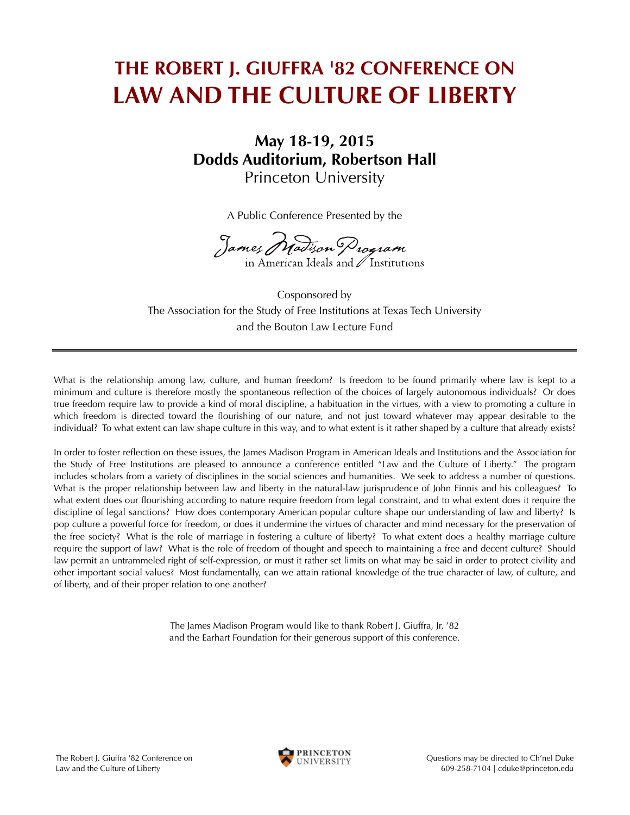## **THE ROBERT J. GIUFFRA '82 CONFERENCE ON LAW AND THE CULTURE OF LIBERTY**

## **May 18-19, 2015** Princeton University **Dodds Auditorium, Robertson Hall**

A Public Conference Presented by the

James Madison Program

and the Bouton Law Lecture Fund Cosponsored by The Association for the Study of Free Institutions at Texas Tech University

What is the relationship among law, culture, and human freedom? Is freedom to be found primarily where law is kept to a minimum and culture is therefore mostly the spontaneous reflection of the choices of largely autonomous individuals? Or does true freedom require law to provide a kind of moral discipline, a habituation in the virtues, with a view to promoting a culture in which freedom is directed toward the flourishing of our nature, and not just toward whatever may appear desirable to the individual? To what extent can law shape culture in this way, and to what extent is it rather shaped by a culture that already exists?

In order to foster reflection on these issues, the James Madison Program in American Ideals and Institutions and the Association for the Study of Free Institutions are pleased to announce a conference entitled "Law and the Culture of Liberty." The program includes scholars from a variety of disciplines in the social sciences and humanities. We seek to address a number of questions. What is the proper relationship between law and liberty in the natural-law jurisprudence of John Finnis and his colleagues? To what extent does our flourishing according to nature require freedom from legal constraint, and to what extent does it require the discipline of legal sanctions? How does contemporary American popular culture shape our understanding of law and liberty? Is pop culture a powerful force for freedom, or does it undermine the virtues of character and mind necessary for the preservation of the free society? What is the role of marriage in fostering a culture of liberty? To what extent does a healthy marriage culture require the support of law? What is the role of freedom of thought and speech to maintaining a free and decent culture? Should law permit an untrammeled right of self-expression, or must it rather set limits on what may be said in order to protect civility and other important social values? Most fundamentally, can we attain rational knowledge of the true character of law, of culture, and of liberty, and of their proper relation to one another?

> The James Madison Program would like to thank Robert J. Giuffra, Jr. '82 and the Earhart Foundation for their generous support of this conference.

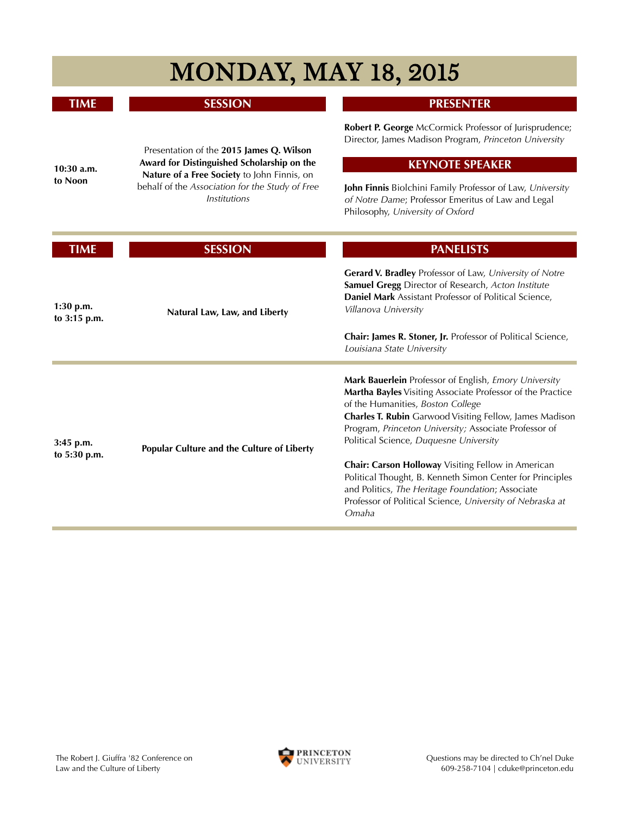| <b>MONDAY, MAY 18, 2015</b> |                                                                                                                                                                                                          |                                                                                                                                                                                                                                                                                                                        |
|-----------------------------|----------------------------------------------------------------------------------------------------------------------------------------------------------------------------------------------------------|------------------------------------------------------------------------------------------------------------------------------------------------------------------------------------------------------------------------------------------------------------------------------------------------------------------------|
| <b>TIME</b>                 | <b>SESSION</b>                                                                                                                                                                                           | <b>PRESENTER</b>                                                                                                                                                                                                                                                                                                       |
| $10:30$ a.m.<br>to Noon     | Presentation of the 2015 James Q. Wilson<br>Award for Distinguished Scholarship on the<br>Nature of a Free Society to John Finnis, on<br>behalf of the Association for the Study of Free<br>Institutions | Robert P. George McCormick Professor of Jurisprudence;<br>Director, James Madison Program, Princeton University                                                                                                                                                                                                        |
|                             |                                                                                                                                                                                                          | <b>KEYNOTE SPEAKER</b><br>John Finnis Biolchini Family Professor of Law, University<br>of Notre Dame; Professor Emeritus of Law and Legal<br>Philosophy, University of Oxford                                                                                                                                          |
| <b>TIME</b>                 | <b>SESSION</b>                                                                                                                                                                                           | <b>PANELISTS</b>                                                                                                                                                                                                                                                                                                       |
| $1:30$ p.m.<br>to 3:15 p.m. | Natural Law, Law, and Liberty                                                                                                                                                                            | Gerard V. Bradley Professor of Law, University of Notre<br>Samuel Gregg Director of Research, Acton Institute<br>Daniel Mark Assistant Professor of Political Science,<br>Villanova University<br>Chair: James R. Stoner, Jr. Professor of Political Science,<br>Louisiana State University                            |
| 3:45 p.m.<br>to 5:30 p.m.   | Popular Culture and the Culture of Liberty                                                                                                                                                               | Mark Bauerlein Professor of English, Emory University<br>Martha Bayles Visiting Associate Professor of the Practice<br>of the Humanities, Boston College<br>Charles T. Rubin Garwood Visiting Fellow, James Madison<br>Program, Princeton University; Associate Professor of<br>Political Science, Duquesne University |
|                             |                                                                                                                                                                                                          | Chair: Carson Holloway Visiting Fellow in American<br>Political Thought, B. Kenneth Simon Center for Principles<br>and Politics, The Heritage Foundation; Associate<br>Professor of Political Science, University of Nebraska at<br>Omaha                                                                              |